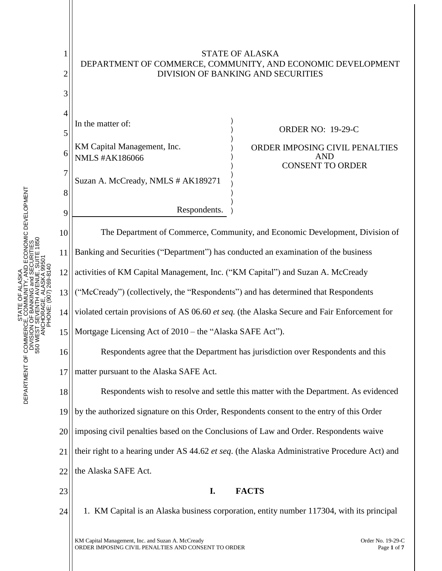

LASKA<br>TY, AND ECONOMIC DEVELOPMENT<br>ENUE, SUITE 1850<br>ENUE, SUITE 1850 DEPARTMENT OF COMMERCE, COMMUNITY, AND ECONOMIC DEVELOPMENT 550 WEST SEVENTH AVENUE, SUITE 1850 DIVISION OF BANKING and SECURITIES ANCHORAGE, ALASKA 99501 PHONE: (907) 269-8140 STATE OF ALASKA STATE<br>COMM<br>I OF BANK DEPARTMENT OF COMMERCI<br>DIVISION<br>S50 WEST S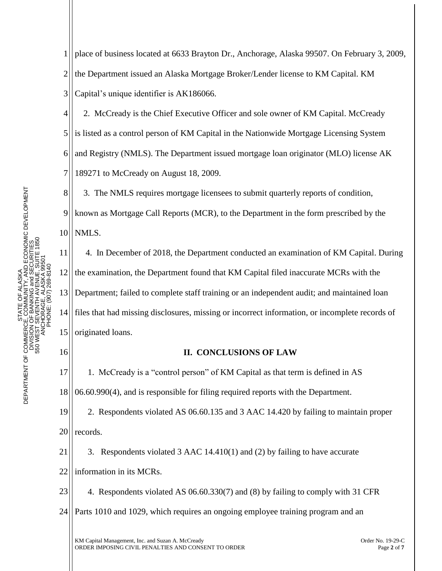1 2 3 place of business located at 6633 Brayton Dr., Anchorage, Alaska 99507. On February 3, 2009, the Department issued an Alaska Mortgage Broker/Lender license to KM Capital. KM Capital's unique identifier is AK186066.

4 5 6 7 2. McCready is the Chief Executive Officer and sole owner of KM Capital. McCready is listed as a control person of KM Capital in the Nationwide Mortgage Licensing System and Registry (NMLS). The Department issued mortgage loan originator (MLO) license AK 189271 to McCready on August 18, 2009.

8 9 10 3. The NMLS requires mortgage licensees to submit quarterly reports of condition, known as Mortgage Call Reports (MCR), to the Department in the form prescribed by the NMLS.

11 12 13 14 15 4. In December of 2018, the Department conducted an examination of KM Capital. During the examination, the Department found that KM Capital filed inaccurate MCRs with the Department; failed to complete staff training or an independent audit; and maintained loan files that had missing disclosures, missing or incorrect information, or incomplete records of originated loans.

16

## **II. CONCLUSIONS OF LAW**

17 18 1. McCready is a "control person" of KM Capital as that term is defined in AS 06.60.990(4), and is responsible for filing required reports with the Department.

19 20 2. Respondents violated AS 06.60.135 and 3 AAC 14.420 by failing to maintain proper records.

21 22 3. Respondents violated 3 AAC 14.410(1) and (2) by failing to have accurate information in its MCRs.

23 24 4. Respondents violated AS 06.60.330(7) and (8) by failing to comply with 31 CFR Parts 1010 and 1029, which requires an ongoing employee training program and an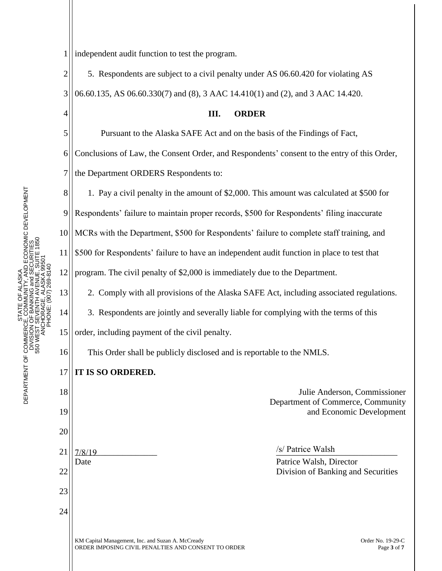4

8

13

14

1 independent audit function to test the program.

2 3 5. Respondents are subject to a civil penalty under AS 06.60.420 for violating AS 06.60.135, AS 06.60.330(7) and (8), 3 AAC 14.410(1) and (2), and 3 AAC 14.420.

5 6 7 Pursuant to the Alaska SAFE Act and on the basis of the Findings of Fact, Conclusions of Law, the Consent Order, and Respondents' consent to the entry of this Order, the Department ORDERS Respondents to:

**III. ORDER**

1. Pay a civil penalty in the amount of \$2,000. This amount was calculated at \$500 for

9 Respondents' failure to maintain proper records, \$500 for Respondents' filing inaccurate

10 MCRs with the Department, \$500 for Respondents' failure to complete staff training, and

11 \$500 for Respondents' failure to have an independent audit function in place to test that

12 program. The civil penalty of \$2,000 is immediately due to the Department.

2. Comply with all provisions of the Alaska SAFE Act, including associated regulations.

3. Respondents are jointly and severally liable for complying with the terms of this

15 order, including payment of the civil penalty.

16 This Order shall be publicly disclosed and is reportable to the NMLS.

## 17 **IT IS SO ORDERED.**

18 19 20 21 22 23 24  $\frac{1}{\sqrt{2}}$   $\frac{1}{\sqrt{2}}$   $\frac{1}{\sqrt{2}}$   $\frac{1}{\sqrt{2}}$   $\frac{1}{\sqrt{2}}$   $\frac{1}{\sqrt{2}}$   $\frac{1}{\sqrt{2}}$   $\frac{1}{\sqrt{2}}$   $\frac{1}{\sqrt{2}}$   $\frac{1}{\sqrt{2}}$   $\frac{1}{\sqrt{2}}$   $\frac{1}{\sqrt{2}}$   $\frac{1}{\sqrt{2}}$   $\frac{1}{\sqrt{2}}$   $\frac{1}{\sqrt{2}}$   $\frac{1}{\sqrt{2}}$   $\frac{1}{\sqrt{2}}$  Date **Patrice Walsh, Director** Patrice Walsh, Director  $7/8/19$  /s/ Patrice Walsh

Julie Anderson, Commissioner Department of Commerce, Community and Economic Development

Division of Banking and Securities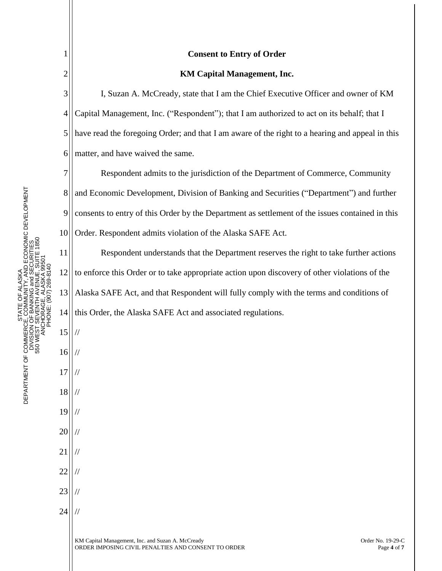|                                                                                                                                                                                                                            | $\mathbf{1}$             |               |
|----------------------------------------------------------------------------------------------------------------------------------------------------------------------------------------------------------------------------|--------------------------|---------------|
|                                                                                                                                                                                                                            |                          |               |
|                                                                                                                                                                                                                            | $\frac{2}{3}$            | I,            |
|                                                                                                                                                                                                                            | $\overline{a}$           | Capital M     |
|                                                                                                                                                                                                                            | $\overline{\phantom{a}}$ | have read     |
| IMUNITY, AND ECONOMIC DEVELOPMENT<br>IKING and SECURITIES<br>1850<br>TE 1<br>PHONE: (907) 269-8140<br>STATE OF ALASKA<br>ANCHORAGE, ALASKA<br>$\leq$<br>DEPARTMENT OF COMMERCE, COMMUNI<br>NAB AL OF BAN<br>550 WEST SEVEN | 6                        | matter, ar    |
|                                                                                                                                                                                                                            | $\overline{1}$           | $\mathsf{R}$  |
|                                                                                                                                                                                                                            | 8                        | and Econ      |
|                                                                                                                                                                                                                            | 9                        | consents      |
|                                                                                                                                                                                                                            | 10                       | Order. Re     |
|                                                                                                                                                                                                                            | 11                       | R             |
|                                                                                                                                                                                                                            | 12                       | to enforce    |
|                                                                                                                                                                                                                            | 13                       | Alaska S.     |
|                                                                                                                                                                                                                            | 14                       | this Orde     |
|                                                                                                                                                                                                                            | 15                       |               |
|                                                                                                                                                                                                                            | 16                       |               |
|                                                                                                                                                                                                                            | 17                       |               |
|                                                                                                                                                                                                                            | 18                       |               |
|                                                                                                                                                                                                                            | 19                       | $\frac{1}{2}$ |

20

//

//

//

//

//

21

22

23

24

## **Consent to Entry of Order**

## **KM Capital Management, Inc.**

Suzan A. McCready, state that I am the Chief Executive Officer and owner of KM Ianagement, Inc. ("Respondent"); that I am authorized to act on its behalf; that I the foregoing Order; and that I am aware of the right to a hearing and appeal in this nd have waived the same.

espondent admits to the jurisdiction of the Department of Commerce, Community and Economic Development, Division of Banking and Securities ("Department") and further to entry of this Order by the Department as settlement of the issues contained in this espondent admits violation of the Alaska SAFE Act.

espondent understands that the Department reserves the right to take further actions e this Order or to take appropriate action upon discovery of other violations of the AFE Act, and that Respondent will fully comply with the terms and conditions of r, the Alaska SAFE Act and associated regulations.

KM Capital Management, Inc. and Suzan A. McCready **Subset A. A. A. A. A. A. A. A. A. A. A. A.** Order No. 19-29-C ORDER IMPOSING CIVIL PENALTIES AND CONSENT TO ORDER Page **4** of **7**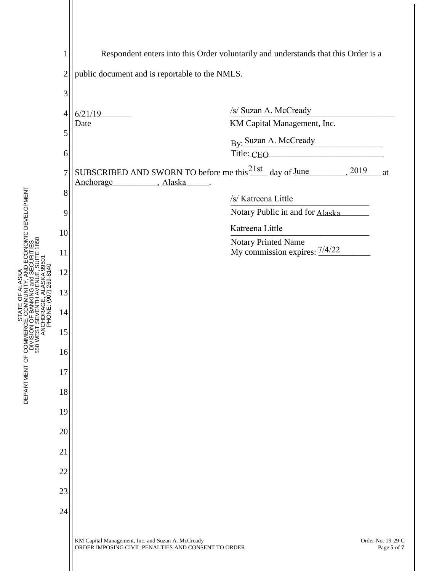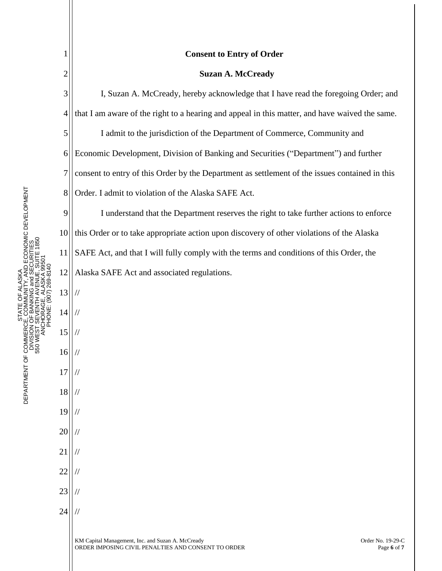|                                     |                | <b>Consent to Entry of Order</b>                                                                                                             |  |  |  |
|-------------------------------------|----------------|----------------------------------------------------------------------------------------------------------------------------------------------|--|--|--|
| OMIC DEVELOPMENT<br>p<br>DEPARTMENT | $\overline{2}$ | <b>Suzan A. McCready</b>                                                                                                                     |  |  |  |
|                                     | 3              | I, Suzan A. McCready, hereby acknowledge that I have read the foregoing Order; and                                                           |  |  |  |
|                                     | 4              | that I am aware of the right to a hearing and appeal in this matter, and have waived the same.                                               |  |  |  |
|                                     | 5              | I admit to the jurisdiction of the Department of Commerce, Community and                                                                     |  |  |  |
|                                     | 6              | Economic Development, Division of Banking and Securities ("Department") and further                                                          |  |  |  |
|                                     | 7              | consent to entry of this Order by the Department as settlement of the issues contained in this                                               |  |  |  |
|                                     | 8              | Order. I admit to violation of the Alaska SAFE Act.                                                                                          |  |  |  |
|                                     | 9              | I understand that the Department reserves the right to take further actions to enforce                                                       |  |  |  |
|                                     | 10             | this Order or to take appropriate action upon discovery of other violations of the Alaska                                                    |  |  |  |
|                                     | 11             | SAFE Act, and that I will fully comply with the terms and conditions of this Order, the                                                      |  |  |  |
|                                     | 12             | Alaska SAFE Act and associated regulations.                                                                                                  |  |  |  |
|                                     | 13             |                                                                                                                                              |  |  |  |
|                                     | 14             |                                                                                                                                              |  |  |  |
|                                     | 15             |                                                                                                                                              |  |  |  |
|                                     | 16             |                                                                                                                                              |  |  |  |
|                                     | 17             |                                                                                                                                              |  |  |  |
|                                     | 18             |                                                                                                                                              |  |  |  |
|                                     | 19             |                                                                                                                                              |  |  |  |
|                                     | 20             |                                                                                                                                              |  |  |  |
|                                     | 21             |                                                                                                                                              |  |  |  |
|                                     | 22             |                                                                                                                                              |  |  |  |
|                                     | 23             |                                                                                                                                              |  |  |  |
|                                     | 24             |                                                                                                                                              |  |  |  |
|                                     |                | KM Capital Management, Inc. and Suzan A. McCready<br>Order No. 19-29-C<br>ORDER IMPOSING CIVIL PENALTIES AND CONSENT TO ORDER<br>Page 6 of 7 |  |  |  |